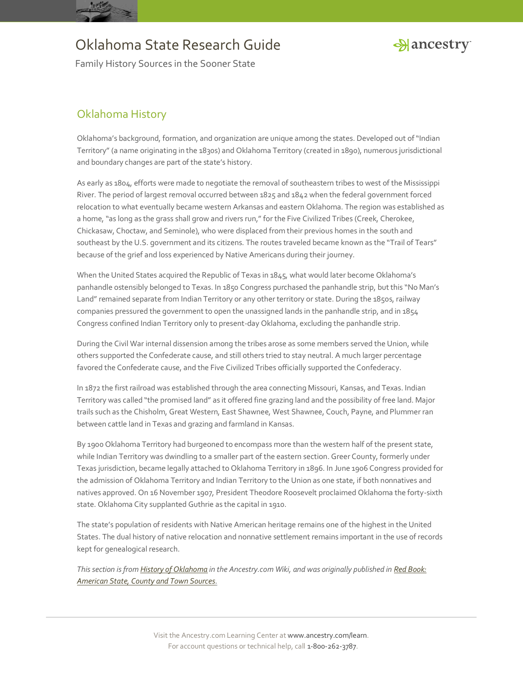



Family History Sources in the Sooner State

## Oklahoma History

Oklahoma's background, formation, and organization are unique among the states. Developed out of "Indian Territory" (a name originating in the 1830s) and Oklahoma Territory (created in 1890), numerous jurisdictional and boundary changes are part of the state's history.

As early as 1804, efforts were made to negotiate the removal of southeastern tribes to west of the Mississippi River. The period of largest removal occurred between 1825 and 1842 when the federal government forced relocation to what eventually became western Arkansas and eastern Oklahoma. The region was established as a home, "as long as the grass shall grow and rivers run," for the Five Civilized Tribes (Creek, Cherokee, Chickasaw, Choctaw, and Seminole), who were displaced from their previous homes in the south and southeast by the U.S. government and its citizens. The routes traveled became known as the "Trail of Tears" because of the grief and loss experienced by Native Americans during their journey.

When the United States acquired the Republic of Texas in 1845, what would later become Oklahoma's panhandle ostensibly belonged to Texas. In 1850 Congress purchased the panhandle strip, but this "No Man's Land" remained separate from Indian Territory or any other territory or state. During the 1850s, railway companies pressured the government to open the unassigned lands in the panhandle strip, and in 1854 Congress confined Indian Territory only to present-day Oklahoma, excluding the panhandle strip.

During the Civil War internal dissension among the tribes arose as some members served the Union, while others supported the Confederate cause, and still others tried to stay neutral. A much larger percentage favored the Confederate cause, and the Five Civilized Tribes officially supported the Confederacy.

In 1872 the first railroad was established through the area connecting Missouri, Kansas, and Texas. Indian Territory was called "the promised land" as it offered fine grazing land and the possibility of free land. Major trails such as the Chisholm, Great Western, East Shawnee, West Shawnee, Couch, Payne, and Plummer ran between cattle land in Texas and grazing and farmland in Kansas.

By 1900 Oklahoma Territory had burgeoned to encompass more than the western half of the present state, while Indian Territory was dwindling to a smaller part of the eastern section. Greer County, formerly under Texas jurisdiction, became legally attached to Oklahoma Territory in 1896. In June 1906 Congress provided for the admission of Oklahoma Territory and Indian Territory to the Union as one state, if both nonnatives and natives approved. On 16 November 1907, President Theodore Roosevelt proclaimed Oklahoma the forty-sixth state. Oklahoma City supplanted Guthrie as the capital in 1910.

The state's population of residents with Native American heritage remains one of the highest in the United States. The dual history of native relocation and nonnative settlement remains important in the use of records kept for genealogical research.

*This section is fro[m History of Oklahoma](http://ancstry.me/1uGXq3V) in the Ancestry.com Wiki, and was originally published in [Red Book:](http://bit.ly/vzy0vW)  [American State, County and Town Sources.](http://bit.ly/vzy0vW)*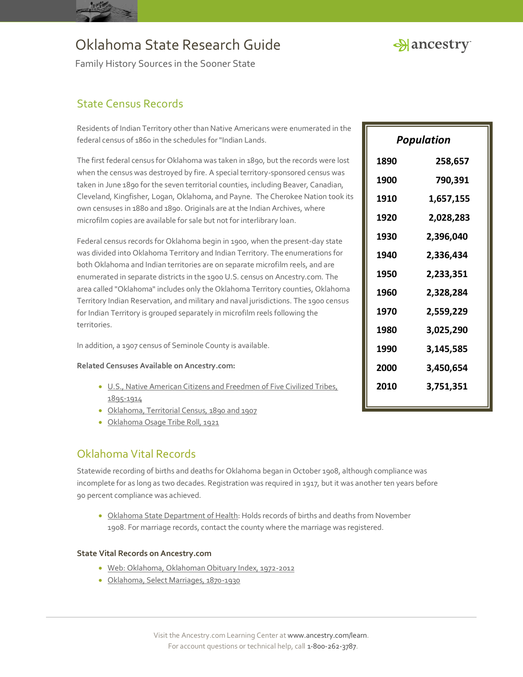



Family History Sources in the Sooner State

## State Census Records

Residents of Indian Territory other than Native Americans were enumerated in the federal census of 1860 in the schedules for "Indian Lands.

The first federal census for Oklahoma was taken in 1890, but the records were lost when the census was destroyed by fire. A special territory-sponsored census was taken in June 1890 for the seven territorial counties, including Beaver, Canadian, Cleveland, Kingfisher, Logan, Oklahoma, and Payne. The Cherokee Nation took its own censuses in 1880 and 1890. Originals are at the Indian Archives, where microfilm copies are available for sale but not for interlibrary loan.

Federal census records for Oklahoma begin in 1900, when the present-day state was divided into Oklahoma Territory and Indian Territory. The enumerations for both Oklahoma and Indian territories are on separate microfilm reels, and are enumerated in separate districts in the 1900 U.S. census on Ancestry.com. The area called "Oklahoma" includes only the Oklahoma Territory counties, Oklahoma Territory Indian Reservation, and military and naval jurisdictions. The 1900 census for Indian Territory is grouped separately in microfilm reels following the territories.

In addition, a 1907 census of Seminole County is available.

#### **Related Censuses Available on Ancestry.com:**

- [U.S., Native American Citizens and Freedmen of Five Civilized Tribes,](http://search.ancestry.com/search/db.aspx?dbid=2976)  [1895-1914](http://search.ancestry.com/search/db.aspx?dbid=2976)
- [Oklahoma, Territorial Census, 1890 and 1907](http://search.ancestry.com/search/db.aspx?dbid=8925)
- [Oklahoma Osage Tribe Roll, 1921](http://search.ancestry.com/search/db.aspx?dbid=4663)

### Oklahoma Vital Records

Statewide recording of births and deaths for Oklahoma began in October 1908, although compliance was incomplete for as long as two decades. Registration was required in 1917, but it was another ten years before 90 percent compliance was achieved.

 [Oklahoma State Department of Health:](http://www.ok.gov/health/Birth_and_Death_Certificates/index.html) Holds records of births and deaths from November 1908. For marriage records, contact the county where the marriage was registered.

#### **State Vital Records on Ancestry.com**

- [Web: Oklahoma, Oklahoman Obituary Index, 1972-2012](http://search.ancestry.com/search/db.aspx?dbid=9235)
- [Oklahoma, Select Marriages, 1870-1930](http://search.ancestry.com/search/db.aspx?dbid=60105)

| Population |           |
|------------|-----------|
| 1890       | 258,657   |
| 1900       | 790,391   |
| 1910       | 1,657,155 |
| 1920       | 2,028,283 |
| 1930       | 2,396,040 |
| 1940       | 2,336,434 |
| 1950       | 2,233,351 |
| 1960       | 2,328,284 |
| 1970       | 2,559,229 |
| 1980       | 3,025,290 |
| 1990       | 3,145,585 |
| 2000       | 3,450,654 |
| 2010       | 3,751,351 |
|            |           |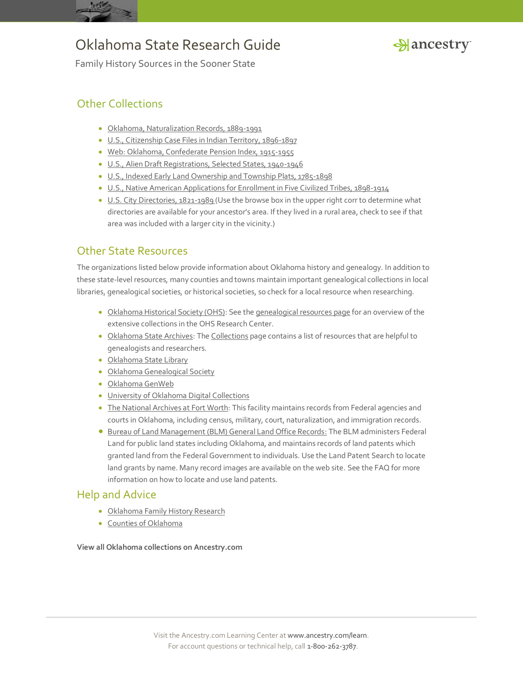



Family History Sources in the Sooner State

## Other Collections

- [Oklahoma, Naturalization Records, 1889-1991](http://search.ancestry.com/search/db.aspx?dbid=2508)
- [U.S., Citizenship Case Files in Indian Territory, 1896-1897](http://search.ancestry.com/search/db.aspx?dbid=2136)
- [Web: Oklahoma, Confederate Pension Index, 1915-1955](http://search.ancestry.com/search/db.aspx?dbid=9236)
- [U.S., Alien Draft Registrations, Selected States, 1940-1946](http://search.ancestry.com/search/db.aspx?dbid=2498)
- [U.S., Indexed Early Land Ownership and Township Plats, 1785-1898](http://search.ancestry.com/search/db.aspx?dbid=2179)
- [U.S., Native American Applications for Enrollment in Five Civilized Tribes, 1898-1914](http://search.ancestry.com/search/db.aspx?dbid=2397)
- [U.S. City Directories, 1821-1989](http://search.ancestry.com/search/db.aspx?dbid=2469) (Use the browse box in the upper right corr to determine what directories are available for your ancestor's area. If they lived in a rural area, check to see if that area was included with a larger city in the vicinity.)

## Other State Resources

The organizations listed below provide information about Oklahoma history and genealogy. In addition to these state-level resources, many counties and towns maintain important genealogical collections in local libraries, genealogical societies, or historical societies, so check for a local resource when researching.

- [Oklahoma Historical Society \(OHS\):](http://www.okhistory.org/) See th[e genealogical resources page](http://www.okhistory.org/research/genealogy) for an overview of the extensive collections in the OHS Research Center.
- [Oklahoma State Archives:](http://www.odl.state.ok.us/oar/archives/index.htm) Th[e Collections](http://www.odl.state.ok.us/oar/archives/collections.htm) page contains a list of resources that are helpful to genealogists and researchers.
- [Oklahoma State Library](http://www.odl.state.ok.us/)
- [Oklahoma Genealogical Society](http://www.okgensoc.org/)
- [Oklahoma GenWeb](http://okgenweb.org/)
- [University of Oklahoma Digital Collections](http://digital.libraries.ou.edu/)
- [The National Archives at Fort Worth:](http://www.archives.gov/fort-worth/) This facility maintains records from Federal agencies and courts in Oklahoma, including census, military, court, naturalization, and immigration records.
- **[Bureau of Land Management \(BLM\) General Land Office Records:](http://www.glorecords.blm.gov/) The BLM administers Federal** Land for public land states including Oklahoma, and maintains records of land patents which granted land from the Federal Government to individuals. Use the Land Patent Search to locate land grants by name. Many record images are available on the web site. See the FAQ for more information on how to locate and use land patents.

### Help and Advice

- [Oklahoma Family History Research](http://www.ancestry.com/wiki/index.php?title=Oklahoma_Family_History_Research)
- [Counties of Oklahoma](http://www.ancestry.com/wiki/index.php?title=Counties_of_Oklahoma)

**View all Oklahoma collections on Ancestry.com**